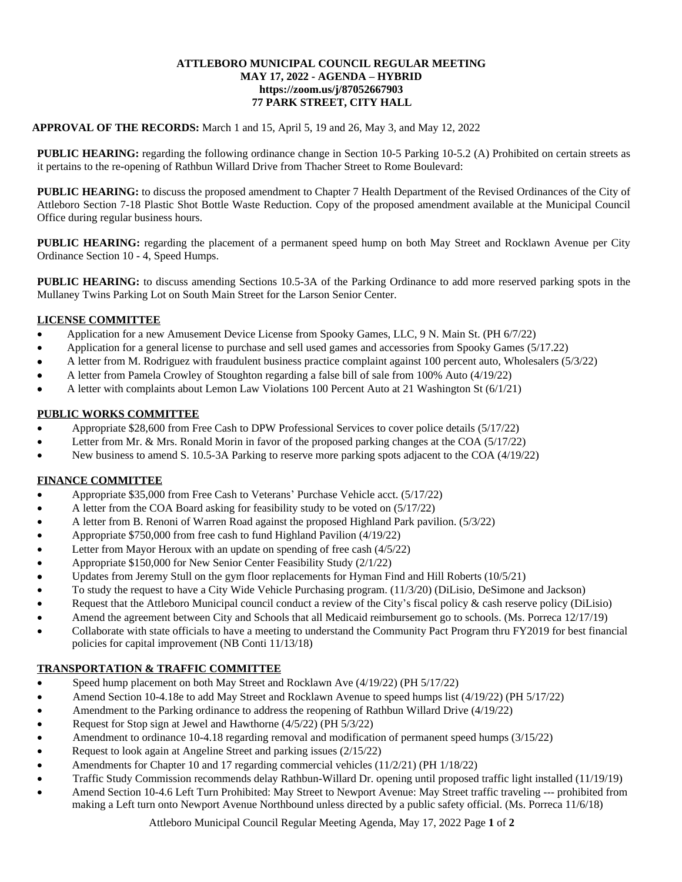## **ATTLEBORO MUNICIPAL COUNCIL REGULAR MEETING MAY 17, 2022 - AGENDA – HYBRID https://zoom.us/j/87052667903 77 PARK STREET, CITY HALL**

## **APPROVAL OF THE RECORDS:** March 1 and 15, April 5, 19 and 26, May 3, and May 12, 2022

**PUBLIC HEARING:** regarding the following ordinance change in Section 10-5 Parking 10-5.2 (A) Prohibited on certain streets as it pertains to the re-opening of Rathbun Willard Drive from Thacher Street to Rome Boulevard:

**PUBLIC HEARING:** to discuss the proposed amendment to Chapter 7 Health Department of the Revised Ordinances of the City of Attleboro Section 7-18 Plastic Shot Bottle Waste Reduction. Copy of the proposed amendment available at the Municipal Council Office during regular business hours.

**PUBLIC HEARING:** regarding the placement of a permanent speed hump on both May Street and Rocklawn Avenue per City Ordinance Section 10 - 4, Speed Humps.

**PUBLIC HEARING:** to discuss amending Sections 10.5-3A of the Parking Ordinance to add more reserved parking spots in the Mullaney Twins Parking Lot on South Main Street for the Larson Senior Center.

# **LICENSE COMMITTEE**

- Application for a new Amusement Device License from Spooky Games, LLC, 9 N. Main St. (PH 6/7/22)
- Application for a general license to purchase and sell used games and accessories from Spooky Games (5/17.22)
- A letter from M. Rodriguez with fraudulent business practice complaint against 100 percent auto, Wholesalers (5/3/22)
- A letter from Pamela Crowley of Stoughton regarding a false bill of sale from 100% Auto (4/19/22)
- A letter with complaints about Lemon Law Violations 100 Percent Auto at 21 Washington St (6/1/21)

# **PUBLIC WORKS COMMITTEE**

- Appropriate \$28,600 from Free Cash to DPW Professional Services to cover police details (5/17/22)
- Letter from Mr. & Mrs. Ronald Morin in favor of the proposed parking changes at the COA (5/17/22)
- New business to amend S. 10.5-3A Parking to reserve more parking spots adjacent to the COA (4/19/22)

## **FINANCE COMMITTEE**

- Appropriate \$35,000 from Free Cash to Veterans' Purchase Vehicle acct. (5/17/22)
- A letter from the COA Board asking for feasibility study to be voted on (5/17/22)
- A letter from B. Renoni of Warren Road against the proposed Highland Park pavilion. (5/3/22)
- Appropriate \$750,000 from free cash to fund Highland Pavilion (4/19/22)
- Letter from Mayor Heroux with an update on spending of free cash (4/5/22)
- Appropriate \$150,000 for New Senior Center Feasibility Study (2/1/22)
- Updates from Jeremy Stull on the gym floor replacements for Hyman Find and Hill Roberts (10/5/21)
- To study the request to have a City Wide Vehicle Purchasing program. (11/3/20) (DiLisio, DeSimone and Jackson)
- Request that the Attleboro Municipal council conduct a review of the City's fiscal policy & cash reserve policy (DiLisio)
- Amend the agreement between City and Schools that all Medicaid reimbursement go to schools. (Ms. Porreca 12/17/19)
- Collaborate with state officials to have a meeting to understand the Community Pact Program thru FY2019 for best financial policies for capital improvement (NB Conti 11/13/18)

## **TRANSPORTATION & TRAFFIC COMMITTEE**

- Speed hump placement on both May Street and Rocklawn Ave (4/19/22) (PH 5/17/22)
- Amend Section 10-4.18e to add May Street and Rocklawn Avenue to speed humps list (4/19/22) (PH 5/17/22)
- Amendment to the Parking ordinance to address the reopening of Rathbun Willard Drive (4/19/22)
- Request for Stop sign at Jewel and Hawthorne (4/5/22) (PH 5/3/22)
- Amendment to ordinance 10-4.18 regarding removal and modification of permanent speed humps (3/15/22)
- Request to look again at Angeline Street and parking issues (2/15/22)
- Amendments for Chapter 10 and 17 regarding commercial vehicles (11/2/21) (PH 1/18/22)
- Traffic Study Commission recommends delay Rathbun-Willard Dr. opening until proposed traffic light installed (11/19/19)
- Amend Section 10-4.6 Left Turn Prohibited: May Street to Newport Avenue: May Street traffic traveling --- prohibited from making a Left turn onto Newport Avenue Northbound unless directed by a public safety official. (Ms. Porreca 11/6/18)